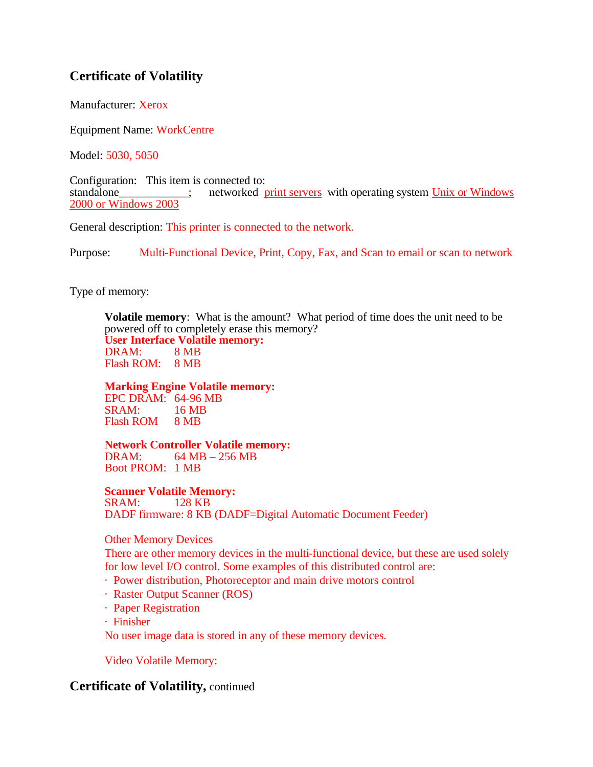# **Certificate of Volatility**

Manufacturer: Xerox

Equipment Name: WorkCentre

Model: 5030, 5050

Configuration: This item is connected to:<br>standalone  $\vdots$  networked  $\mathbf{r}$ standardone is a networked print servers with operating system Unix or Windows 2000 or Windows 2003

General description: This printer is connected to the network.

Purpose: Multi-Functional Device, Print, Copy, Fax, and Scan to email or scan to network

Type of memory:

**Volatile memory**: What is the amount? What period of time does the unit need to be powered off to completely erase this memory? **User Interface Volatile memory:** DRAM: 8 MB Flash ROM: 8 MB

### **Marking Engine Volatile memory:**

EPC DRAM: 64-96 MB SRAM: 16 MB Flash ROM 8 MB

**Network Controller Volatile memory:** DRAM: 64 MB – 256 MB Boot PROM: 1 MB

**Scanner Volatile Memory:**

SRAM: 128 KB DADF firmware: 8 KB (DADF=Digital Automatic Document Feeder)

Other Memory Devices

There are other memory devices in the multi-functional device, but these are used solely for low level I/O control. Some examples of this distributed control are:

- · Power distribution, Photoreceptor and main drive motors control
- · Raster Output Scanner (ROS)
- · Paper Registration
- · Finisher

No user image data is stored in any of these memory devices.

Video Volatile Memory:

### **Certificate of Volatility,** continued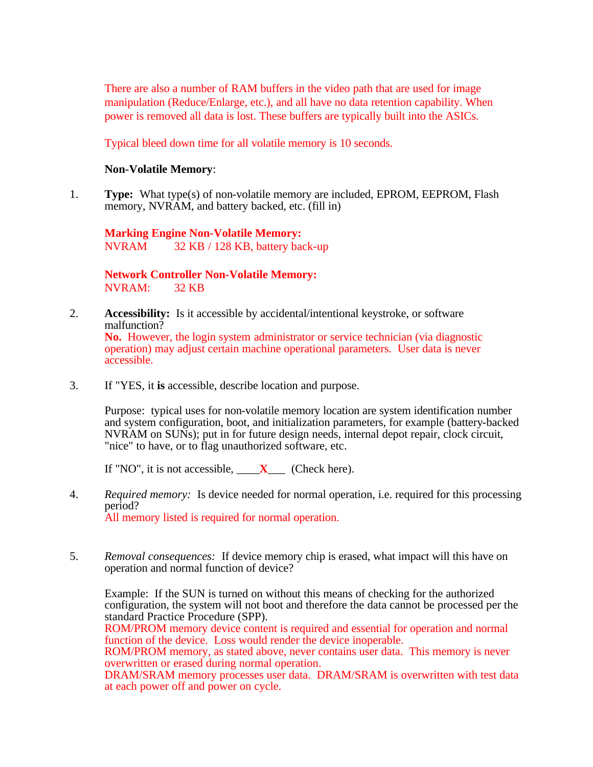There are also a number of RAM buffers in the video path that are used for image manipulation (Reduce/Enlarge, etc.), and all have no data retention capability. When power is removed all data is lost. These buffers are typically built into the ASICs.

Typical bleed down time for all volatile memory is 10 seconds.

### **Non-Volatile Memory**:

1. **Type:** What type(s) of non-volatile memory are included, EPROM, EEPROM, Flash memory, NVRAM, and battery backed, etc. (fill in)

**Marking Engine Non-Volatile Memory:** NVRAM 32 KB / 128 KB, battery back-up

**Network Controller Non-Volatile Memory:** NVRAM: 32 KB

- 2. **Accessibility:** Is it accessible by accidental/intentional keystroke, or software malfunction? **No.** However, the login system administrator or service technician (via diagnostic operation) may adjust certain machine operational parameters. User data is never accessible.
- 3. If "YES, it **is** accessible, describe location and purpose.

Purpose: typical uses for non-volatile memory location are system identification number and system configuration, boot, and initialization parameters, for example (battery-backed NVRAM on SUNs); put in for future design needs, internal depot repair, clock circuit, "nice" to have, or to flag unauthorized software, etc.

If "NO", it is not accessible,  $X$  (Check here).

- 4. *Required memory:* Is device needed for normal operation, i.e. required for this processing period? All memory listed is required for normal operation.
- 5. *Removal consequences:* If device memory chip is erased, what impact will this have on operation and normal function of device?

Example: If the SUN is turned on without this means of checking for the authorized configuration, the system will not boot and therefore the data cannot be processed per the standard Practice Procedure (SPP).

ROM/PROM memory device content is required and essential for operation and normal function of the device. Loss would render the device inoperable.

ROM/PROM memory, as stated above, never contains user data. This memory is never overwritten or erased during normal operation.

DRAM/SRAM memory processes user data. DRAM/SRAM is overwritten with test data at each power off and power on cycle.